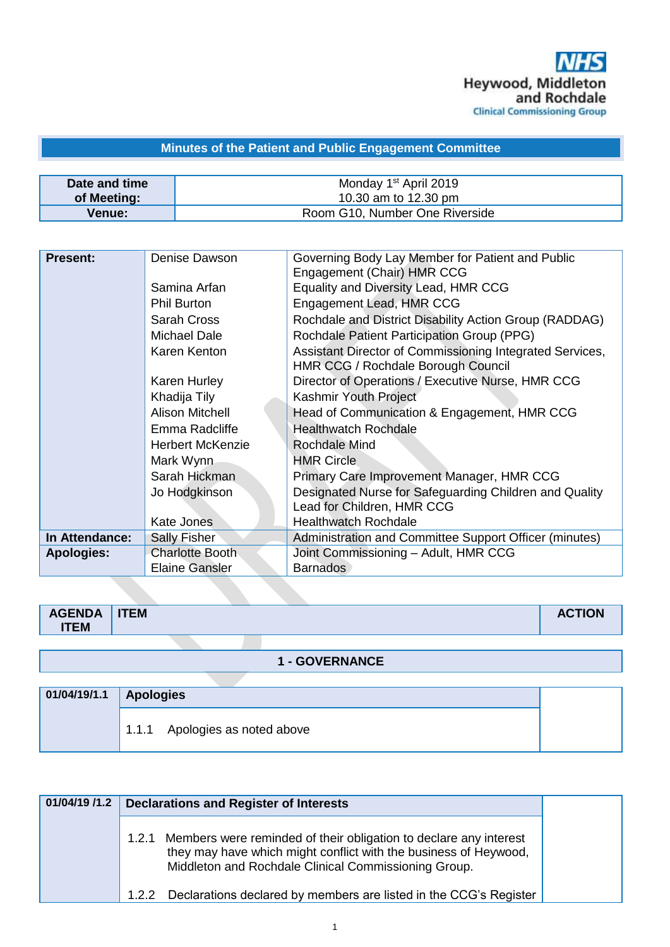# **Minutes of the Patient and Public Engagement Committee**

| Date and time | Monday 1 <sup>st</sup> April 2019 |
|---------------|-----------------------------------|
| of Meeting:   | 10.30 am to 12.30 pm              |
| <b>Venue:</b> | Room G10, Number One Riverside    |

| <b>Present:</b>   | Denise Dawson           | Governing Body Lay Member for Patient and Public<br>Engagement (Chair) HMR CCG                 |
|-------------------|-------------------------|------------------------------------------------------------------------------------------------|
|                   | Samina Arfan            | Equality and Diversity Lead, HMR CCG                                                           |
|                   | <b>Phil Burton</b>      | Engagement Lead, HMR CCG                                                                       |
|                   | Sarah Cross             | Rochdale and District Disability Action Group (RADDAG)                                         |
|                   | Michael Dale            | Rochdale Patient Participation Group (PPG)                                                     |
|                   | Karen Kenton            | Assistant Director of Commissioning Integrated Services,<br>HMR CCG / Rochdale Borough Council |
|                   | Karen Hurley            | Director of Operations / Executive Nurse, HMR CCG                                              |
|                   | Khadija Tily            | Kashmir Youth Project                                                                          |
|                   | <b>Alison Mitchell</b>  | Head of Communication & Engagement, HMR CCG                                                    |
|                   | Emma Radcliffe          | <b>Healthwatch Rochdale</b>                                                                    |
|                   | <b>Herbert McKenzie</b> | Rochdale Mind                                                                                  |
|                   | Mark Wynn               | <b>HMR Circle</b>                                                                              |
|                   | Sarah Hickman           | Primary Care Improvement Manager, HMR CCG                                                      |
|                   | Jo Hodgkinson           | Designated Nurse for Safeguarding Children and Quality<br>Lead for Children, HMR CCG           |
|                   | <b>Kate Jones</b>       | <b>Healthwatch Rochdale</b>                                                                    |
| In Attendance:    | <b>Sally Fisher</b>     | Administration and Committee Support Officer (minutes)                                         |
| <b>Apologies:</b> | <b>Charlotte Booth</b>  | Joint Commissioning - Adult, HMR CCG                                                           |
|                   | <b>Elaine Gansler</b>   | <b>Barnados</b>                                                                                |

#### **1 - GOVERNANCE**

| 01/04/19/1.1 Apologies         |
|--------------------------------|
| 1.1.1 Apologies as noted above |

| 01/04/19 /1.2 | <b>Declarations and Register of Interests</b>                                                                                                                                                       |
|---------------|-----------------------------------------------------------------------------------------------------------------------------------------------------------------------------------------------------|
|               | 1.2.1 Members were reminded of their obligation to declare any interest<br>they may have which might conflict with the business of Heywood,<br>Middleton and Rochdale Clinical Commissioning Group. |
|               | Declarations declared by members are listed in the CCG's Register<br>1.2.2                                                                                                                          |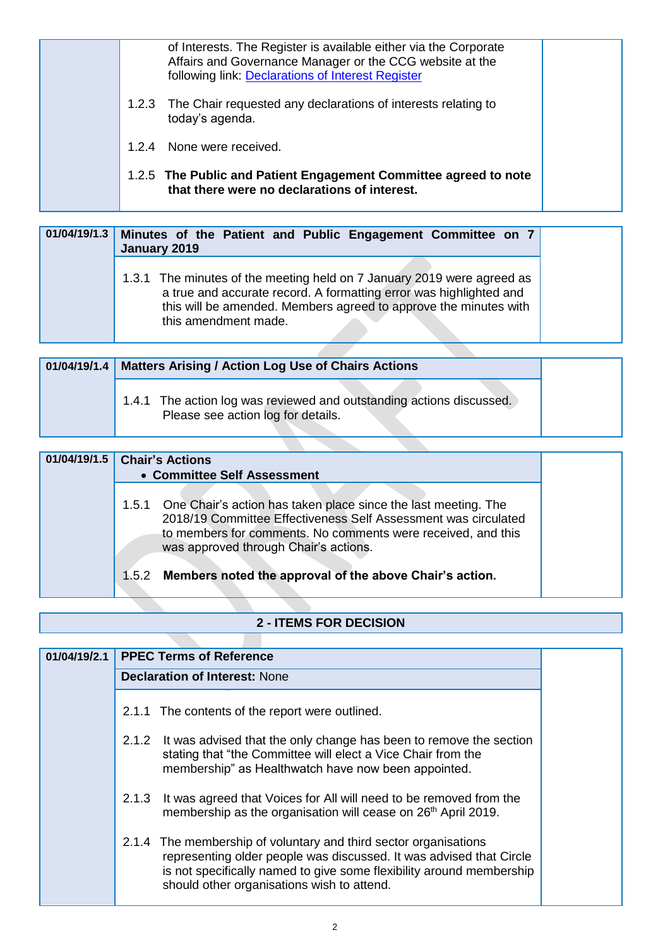| of Interests. The Register is available either via the Corporate<br>Affairs and Governance Manager or the CCG website at the<br>following link: Declarations of Interest Register |
|-----------------------------------------------------------------------------------------------------------------------------------------------------------------------------------|
| 1.2.3 The Chair requested any declarations of interests relating to<br>today's agenda.                                                                                            |
| 1.2.4 None were received.                                                                                                                                                         |
| 1.2.5 The Public and Patient Engagement Committee agreed to note<br>that there were no declarations of interest.                                                                  |

|  | 01/04/19/1.3 Minutes of the Patient and Public Engagement Committee on 7<br>January 2019                                                                                                                                                 |
|--|------------------------------------------------------------------------------------------------------------------------------------------------------------------------------------------------------------------------------------------|
|  | 1.3.1 The minutes of the meeting held on 7 January 2019 were agreed as<br>a true and accurate record. A formatting error was highlighted and<br>this will be amended. Members agreed to approve the minutes with<br>this amendment made. |

| 01/04/19/1.4 | <b>Matters Arising / Action Log Use of Chairs Actions</b>                                                  |  |
|--------------|------------------------------------------------------------------------------------------------------------|--|
|              | 1.4.1 The action log was reviewed and outstanding actions discussed.<br>Please see action log for details. |  |

| 01/04/19/1.5 | <b>Chair's Actions</b>                                                                                                                                                                                                                          |  |
|--------------|-------------------------------------------------------------------------------------------------------------------------------------------------------------------------------------------------------------------------------------------------|--|
|              | • Committee Self Assessment                                                                                                                                                                                                                     |  |
|              | 1.5.1 One Chair's action has taken place since the last meeting. The<br>2018/19 Committee Effectiveness Self Assessment was circulated<br>to members for comments. No comments were received, and this<br>was approved through Chair's actions. |  |
|              | 1.5.2 Members noted the approval of the above Chair's action.                                                                                                                                                                                   |  |

#### **2 - ITEMS FOR DECISION**

| 01/04/19/2.1 |       | <b>PPEC Terms of Reference</b>                                                                                                                                                                                                                                |
|--------------|-------|---------------------------------------------------------------------------------------------------------------------------------------------------------------------------------------------------------------------------------------------------------------|
|              |       | <b>Declaration of Interest: None</b>                                                                                                                                                                                                                          |
|              |       |                                                                                                                                                                                                                                                               |
|              |       | 2.1.1 The contents of the report were outlined.                                                                                                                                                                                                               |
|              | 2.1.2 | It was advised that the only change has been to remove the section<br>stating that "the Committee will elect a Vice Chair from the<br>membership" as Healthwatch have now been appointed.                                                                     |
|              | 2.1.3 | It was agreed that Voices for All will need to be removed from the<br>membership as the organisation will cease on 26 <sup>th</sup> April 2019.                                                                                                               |
|              |       | 2.1.4 The membership of voluntary and third sector organisations<br>representing older people was discussed. It was advised that Circle<br>is not specifically named to give some flexibility around membership<br>should other organisations wish to attend. |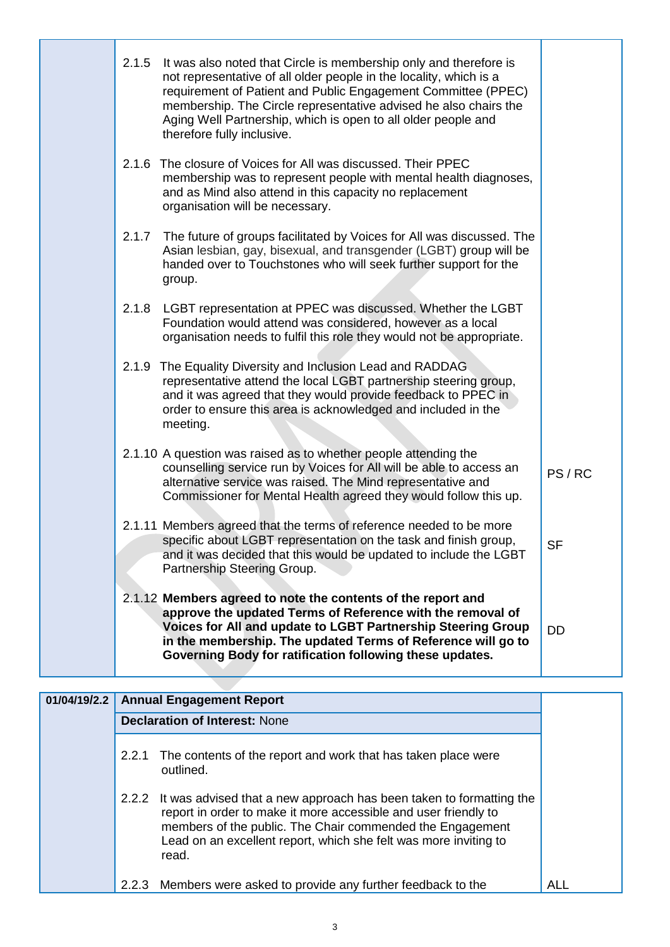| 2.1.5 | It was also noted that Circle is membership only and therefore is<br>not representative of all older people in the locality, which is a<br>requirement of Patient and Public Engagement Committee (PPEC)<br>membership. The Circle representative advised he also chairs the<br>Aging Well Partnership, which is open to all older people and<br>therefore fully inclusive. |           |
|-------|-----------------------------------------------------------------------------------------------------------------------------------------------------------------------------------------------------------------------------------------------------------------------------------------------------------------------------------------------------------------------------|-----------|
| 2.1.6 | The closure of Voices for All was discussed. Their PPEC<br>membership was to represent people with mental health diagnoses,<br>and as Mind also attend in this capacity no replacement<br>organisation will be necessary.                                                                                                                                                   |           |
| 2.1.7 | The future of groups facilitated by Voices for All was discussed. The<br>Asian lesbian, gay, bisexual, and transgender (LGBT) group will be<br>handed over to Touchstones who will seek further support for the<br>group.                                                                                                                                                   |           |
| 2.1.8 | LGBT representation at PPEC was discussed. Whether the LGBT<br>Foundation would attend was considered, however as a local<br>organisation needs to fulfil this role they would not be appropriate.                                                                                                                                                                          |           |
|       | 2.1.9 The Equality Diversity and Inclusion Lead and RADDAG<br>representative attend the local LGBT partnership steering group,<br>and it was agreed that they would provide feedback to PPEC in<br>order to ensure this area is acknowledged and included in the<br>meeting.                                                                                                |           |
|       | 2.1.10 A question was raised as to whether people attending the<br>counselling service run by Voices for All will be able to access an<br>alternative service was raised. The Mind representative and<br>Commissioner for Mental Health agreed they would follow this up.                                                                                                   | PS/RC     |
|       | 2.1.11 Members agreed that the terms of reference needed to be more<br>specific about LGBT representation on the task and finish group,<br>and it was decided that this would be updated to include the LGBT<br>Partnership Steering Group.                                                                                                                                 | <b>SF</b> |
|       | 2.1.12 Members agreed to note the contents of the report and<br>approve the updated Terms of Reference with the removal of<br>Voices for All and update to LGBT Partnership Steering Group<br>in the membership. The updated Terms of Reference will go to<br>Governing Body for ratification following these updates.                                                      | <b>DD</b> |

| 01/04/19/2.2 |       | <b>Annual Engagement Report</b>                                                                                                                                                                                                                                                        |  |  |
|--------------|-------|----------------------------------------------------------------------------------------------------------------------------------------------------------------------------------------------------------------------------------------------------------------------------------------|--|--|
|              |       | <b>Declaration of Interest: None</b>                                                                                                                                                                                                                                                   |  |  |
|              | 2.2.1 | The contents of the report and work that has taken place were<br>outlined.                                                                                                                                                                                                             |  |  |
|              |       | 2.2.2 It was advised that a new approach has been taken to formatting the<br>report in order to make it more accessible and user friendly to<br>members of the public. The Chair commended the Engagement<br>Lead on an excellent report, which she felt was more inviting to<br>read. |  |  |
|              | 2.2.3 | Members were asked to provide any further feedback to the                                                                                                                                                                                                                              |  |  |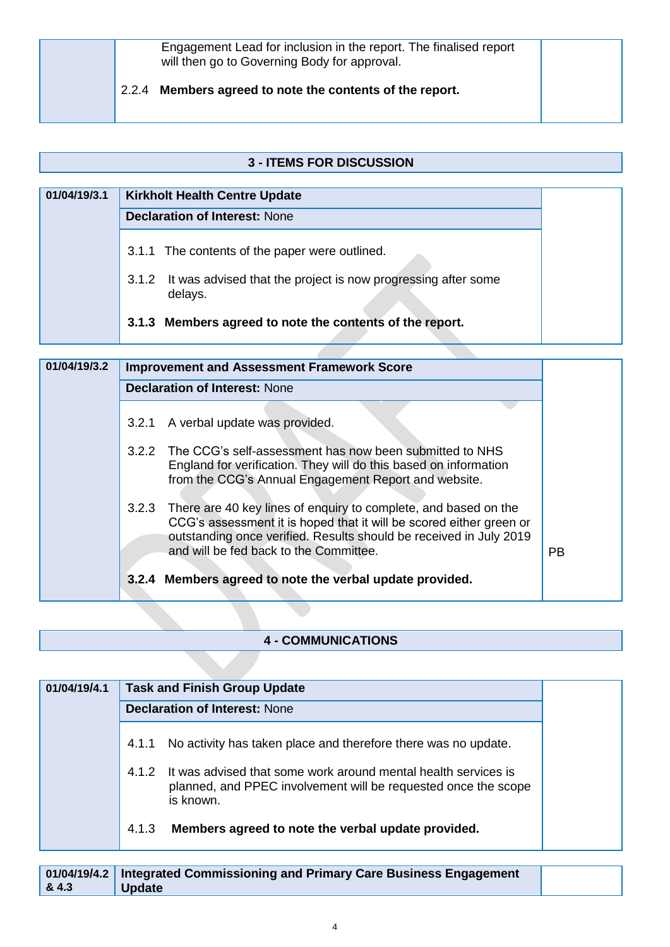| Engagement Lead for inclusion in the report. The finalised report<br>will then go to Governing Body for approval. |  |
|-------------------------------------------------------------------------------------------------------------------|--|
| 2.2.4 Members agreed to note the contents of the report.                                                          |  |

#### **3 - ITEMS FOR DISCUSSION**

| 01/04/19/3.1 | <b>Kirkholt Health Centre Update</b>                                           |  |
|--------------|--------------------------------------------------------------------------------|--|
|              | <b>Declaration of Interest: None</b>                                           |  |
|              | 3.1.1 The contents of the paper were outlined.                                 |  |
|              | 3.1.2 It was advised that the project is now progressing after some<br>delays. |  |
|              | 3.1.3 Members agreed to note the contents of the report.                       |  |

| 01/04/19/3.2 | <b>Improvement and Assessment Framework Score</b>                                                                                                                                                                                                               |           |
|--------------|-----------------------------------------------------------------------------------------------------------------------------------------------------------------------------------------------------------------------------------------------------------------|-----------|
|              | <b>Declaration of Interest: None</b>                                                                                                                                                                                                                            |           |
|              | A verbal update was provided.<br>3.2.1                                                                                                                                                                                                                          |           |
|              | 3.2.2 The CCG's self-assessment has now been submitted to NHS<br>England for verification. They will do this based on information<br>from the CCG's Annual Engagement Report and website.                                                                       |           |
|              | There are 40 key lines of enquiry to complete, and based on the<br>3.2.3<br>CCG's assessment it is hoped that it will be scored either green or<br>outstanding once verified. Results should be received in July 2019<br>and will be fed back to the Committee. | <b>PB</b> |
|              | 3.2.4 Members agreed to note the verbal update provided.                                                                                                                                                                                                        |           |

### **4 - COMMUNICATIONS**

| 01/04/19/4.1 |       | <b>Task and Finish Group Update</b>                                                                                                           |
|--------------|-------|-----------------------------------------------------------------------------------------------------------------------------------------------|
|              |       | <b>Declaration of Interest: None</b>                                                                                                          |
|              | 4.1.1 | No activity has taken place and therefore there was no update.                                                                                |
|              | 4.1.2 | It was advised that some work around mental health services is<br>planned, and PPEC involvement will be requested once the scope<br>is known. |
|              | 4.1.3 | Members agreed to note the verbal update provided.                                                                                            |

|      | 01/04/19/4.2 Integrated Commissioning and Primary Care Business Engagement |  |
|------|----------------------------------------------------------------------------|--|
| 84.3 | Update                                                                     |  |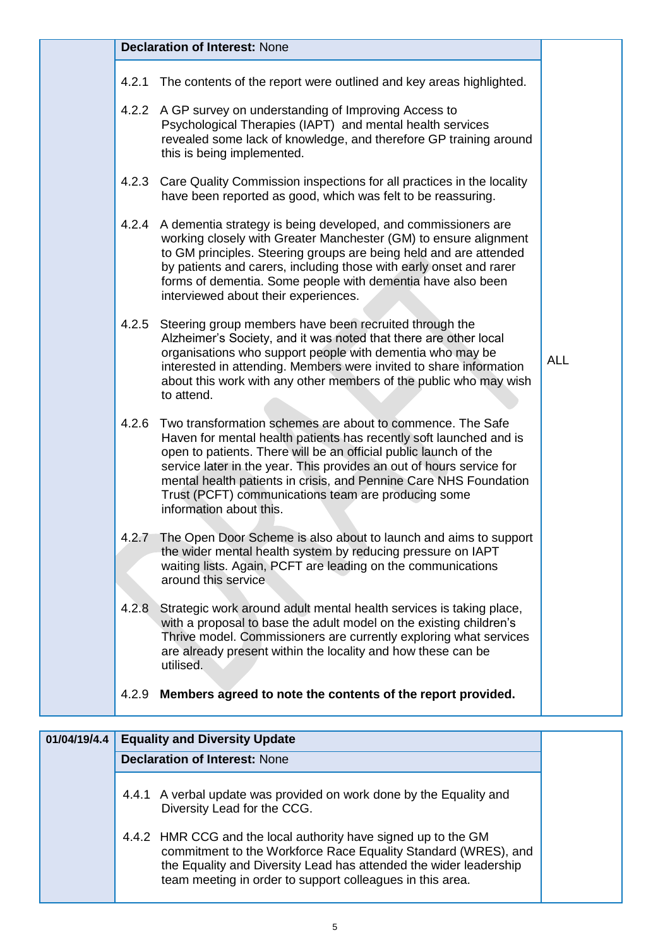| The contents of the report were outlined and key areas highlighted.<br>4.2.2 A GP survey on understanding of Improving Access to<br>Psychological Therapies (IAPT) and mental health services<br>revealed some lack of knowledge, and therefore GP training around<br>this is being implemented.<br>Care Quality Commission inspections for all practices in the locality<br>have been reported as good, which was felt to be reassuring.<br>4.2.4 A dementia strategy is being developed, and commissioners are<br>working closely with Greater Manchester (GM) to ensure alignment<br>to GM principles. Steering groups are being held and are attended<br>by patients and carers, including those with early onset and rarer<br>forms of dementia. Some people with dementia have also been<br>interviewed about their experiences.<br>Steering group members have been recruited through the<br>Alzheimer's Society, and it was noted that there are other local<br>organisations who support people with dementia who may be<br><b>ALL</b><br>interested in attending. Members were invited to share information<br>about this work with any other members of the public who may wish<br>to attend.<br>Two transformation schemes are about to commence. The Safe<br>Haven for mental health patients has recently soft launched and is<br>open to patients. There will be an official public launch of the<br>service later in the year. This provides an out of hours service for<br>mental health patients in crisis, and Pennine Care NHS Foundation<br>Trust (PCFT) communications team are producing some<br>information about this.<br>The Open Door Scheme is also about to launch and aims to support<br>the wider mental health system by reducing pressure on IAPT<br>waiting lists. Again, PCFT are leading on the communications<br>around this service<br>Strategic work around adult mental health services is taking place,<br>with a proposal to base the adult model on the existing children's<br>Thrive model. Commissioners are currently exploring what services<br>are already present within the locality and how these can be<br>utilised.<br>Members agreed to note the contents of the report provided. |       | <b>Declaration of Interest: None</b> |
|-----------------------------------------------------------------------------------------------------------------------------------------------------------------------------------------------------------------------------------------------------------------------------------------------------------------------------------------------------------------------------------------------------------------------------------------------------------------------------------------------------------------------------------------------------------------------------------------------------------------------------------------------------------------------------------------------------------------------------------------------------------------------------------------------------------------------------------------------------------------------------------------------------------------------------------------------------------------------------------------------------------------------------------------------------------------------------------------------------------------------------------------------------------------------------------------------------------------------------------------------------------------------------------------------------------------------------------------------------------------------------------------------------------------------------------------------------------------------------------------------------------------------------------------------------------------------------------------------------------------------------------------------------------------------------------------------------------------------------------------------------------------------------------------------------------------------------------------------------------------------------------------------------------------------------------------------------------------------------------------------------------------------------------------------------------------------------------------------------------------------------------------------------------------------------------------------------------------------------------------|-------|--------------------------------------|
|                                                                                                                                                                                                                                                                                                                                                                                                                                                                                                                                                                                                                                                                                                                                                                                                                                                                                                                                                                                                                                                                                                                                                                                                                                                                                                                                                                                                                                                                                                                                                                                                                                                                                                                                                                                                                                                                                                                                                                                                                                                                                                                                                                                                                                         | 4.2.1 |                                      |
|                                                                                                                                                                                                                                                                                                                                                                                                                                                                                                                                                                                                                                                                                                                                                                                                                                                                                                                                                                                                                                                                                                                                                                                                                                                                                                                                                                                                                                                                                                                                                                                                                                                                                                                                                                                                                                                                                                                                                                                                                                                                                                                                                                                                                                         |       |                                      |
|                                                                                                                                                                                                                                                                                                                                                                                                                                                                                                                                                                                                                                                                                                                                                                                                                                                                                                                                                                                                                                                                                                                                                                                                                                                                                                                                                                                                                                                                                                                                                                                                                                                                                                                                                                                                                                                                                                                                                                                                                                                                                                                                                                                                                                         | 4.2.3 |                                      |
|                                                                                                                                                                                                                                                                                                                                                                                                                                                                                                                                                                                                                                                                                                                                                                                                                                                                                                                                                                                                                                                                                                                                                                                                                                                                                                                                                                                                                                                                                                                                                                                                                                                                                                                                                                                                                                                                                                                                                                                                                                                                                                                                                                                                                                         |       |                                      |
|                                                                                                                                                                                                                                                                                                                                                                                                                                                                                                                                                                                                                                                                                                                                                                                                                                                                                                                                                                                                                                                                                                                                                                                                                                                                                                                                                                                                                                                                                                                                                                                                                                                                                                                                                                                                                                                                                                                                                                                                                                                                                                                                                                                                                                         | 4.2.5 |                                      |
|                                                                                                                                                                                                                                                                                                                                                                                                                                                                                                                                                                                                                                                                                                                                                                                                                                                                                                                                                                                                                                                                                                                                                                                                                                                                                                                                                                                                                                                                                                                                                                                                                                                                                                                                                                                                                                                                                                                                                                                                                                                                                                                                                                                                                                         | 4.2.6 |                                      |
|                                                                                                                                                                                                                                                                                                                                                                                                                                                                                                                                                                                                                                                                                                                                                                                                                                                                                                                                                                                                                                                                                                                                                                                                                                                                                                                                                                                                                                                                                                                                                                                                                                                                                                                                                                                                                                                                                                                                                                                                                                                                                                                                                                                                                                         | 4.2.7 |                                      |
|                                                                                                                                                                                                                                                                                                                                                                                                                                                                                                                                                                                                                                                                                                                                                                                                                                                                                                                                                                                                                                                                                                                                                                                                                                                                                                                                                                                                                                                                                                                                                                                                                                                                                                                                                                                                                                                                                                                                                                                                                                                                                                                                                                                                                                         | 4.2.8 |                                      |
|                                                                                                                                                                                                                                                                                                                                                                                                                                                                                                                                                                                                                                                                                                                                                                                                                                                                                                                                                                                                                                                                                                                                                                                                                                                                                                                                                                                                                                                                                                                                                                                                                                                                                                                                                                                                                                                                                                                                                                                                                                                                                                                                                                                                                                         | 4.2.9 |                                      |

| 01/04/19/4.4 | <b>Equality and Diversity Update</b>                                                                                                                                                                                                                               |  |
|--------------|--------------------------------------------------------------------------------------------------------------------------------------------------------------------------------------------------------------------------------------------------------------------|--|
|              | <b>Declaration of Interest: None</b>                                                                                                                                                                                                                               |  |
|              | 4.4.1 A verbal update was provided on work done by the Equality and<br>Diversity Lead for the CCG.                                                                                                                                                                 |  |
|              | 4.4.2 HMR CCG and the local authority have signed up to the GM<br>commitment to the Workforce Race Equality Standard (WRES), and<br>the Equality and Diversity Lead has attended the wider leadership<br>team meeting in order to support colleagues in this area. |  |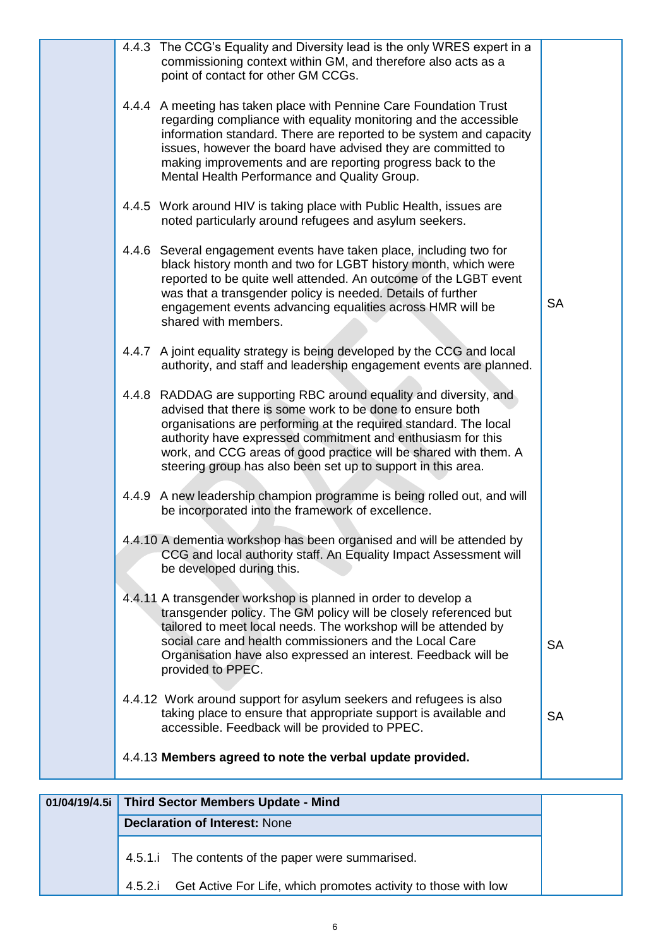|       | 4.4.3 The CCG's Equality and Diversity lead is the only WRES expert in a<br>commissioning context within GM, and therefore also acts as a<br>point of contact for other GM CCGs.                                                                                                                                                                                                                 |           |
|-------|--------------------------------------------------------------------------------------------------------------------------------------------------------------------------------------------------------------------------------------------------------------------------------------------------------------------------------------------------------------------------------------------------|-----------|
|       | 4.4.4 A meeting has taken place with Pennine Care Foundation Trust<br>regarding compliance with equality monitoring and the accessible<br>information standard. There are reported to be system and capacity<br>issues, however the board have advised they are committed to<br>making improvements and are reporting progress back to the<br>Mental Health Performance and Quality Group.       |           |
|       | 4.4.5 Work around HIV is taking place with Public Health, issues are<br>noted particularly around refugees and asylum seekers.                                                                                                                                                                                                                                                                   |           |
|       | 4.4.6 Several engagement events have taken place, including two for<br>black history month and two for LGBT history month, which were<br>reported to be quite well attended. An outcome of the LGBT event<br>was that a transgender policy is needed. Details of further<br>engagement events advancing equalities across HMR will be<br>shared with members.                                    | <b>SA</b> |
|       | 4.4.7 A joint equality strategy is being developed by the CCG and local<br>authority, and staff and leadership engagement events are planned.                                                                                                                                                                                                                                                    |           |
| 4.4.8 | RADDAG are supporting RBC around equality and diversity, and<br>advised that there is some work to be done to ensure both<br>organisations are performing at the required standard. The local<br>authority have expressed commitment and enthusiasm for this<br>work, and CCG areas of good practice will be shared with them. A<br>steering group has also been set up to support in this area. |           |
|       | 4.4.9 A new leadership champion programme is being rolled out, and will<br>be incorporated into the framework of excellence.                                                                                                                                                                                                                                                                     |           |
|       | 4.4.10 A dementia workshop has been organised and will be attended by<br>CCG and local authority staff. An Equality Impact Assessment will<br>be developed during this.                                                                                                                                                                                                                          |           |
|       | 4.4.11 A transgender workshop is planned in order to develop a<br>transgender policy. The GM policy will be closely referenced but<br>tailored to meet local needs. The workshop will be attended by<br>social care and health commissioners and the Local Care<br>Organisation have also expressed an interest. Feedback will be<br>provided to PPEC.                                           | <b>SA</b> |
|       | 4.4.12 Work around support for asylum seekers and refugees is also<br>taking place to ensure that appropriate support is available and<br>accessible. Feedback will be provided to PPEC.                                                                                                                                                                                                         | <b>SA</b> |
|       | 4.4.13 Members agreed to note the verbal update provided.                                                                                                                                                                                                                                                                                                                                        |           |
|       |                                                                                                                                                                                                                                                                                                                                                                                                  |           |

| 01/04/19/4.5i Third Sector Members Update - Mind                       |  |
|------------------------------------------------------------------------|--|
| <b>Declaration of Interest: None</b>                                   |  |
| 4.5.1. The contents of the paper were summarised.                      |  |
| 4.5.2.i Get Active For Life, which promotes activity to those with low |  |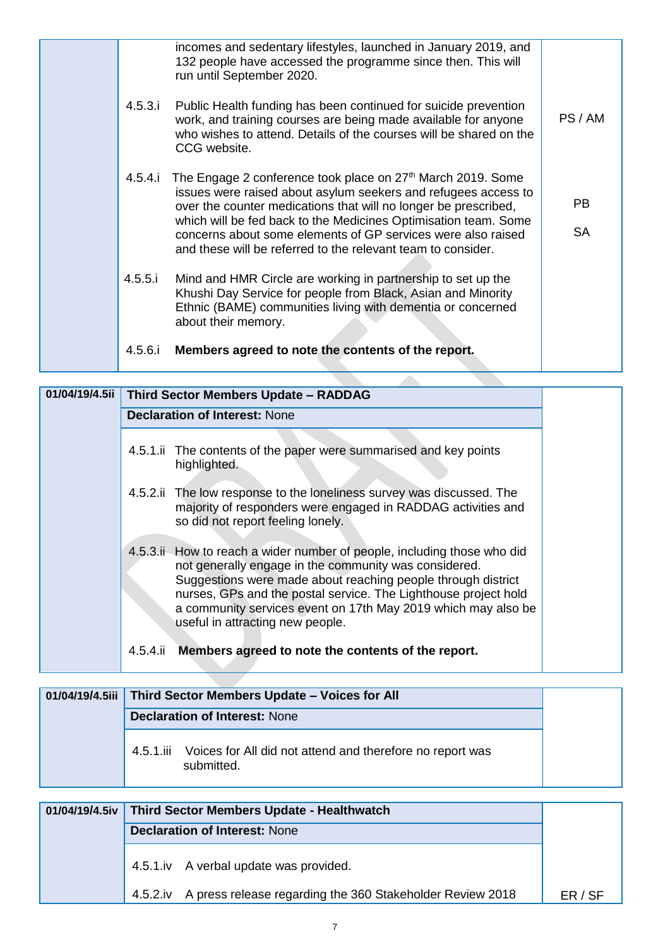|  | 4.5.6.i | Members agreed to note the contents of the report.                                                                                                                                                                                                                                                                                                                                                              |                        |
|--|---------|-----------------------------------------------------------------------------------------------------------------------------------------------------------------------------------------------------------------------------------------------------------------------------------------------------------------------------------------------------------------------------------------------------------------|------------------------|
|  | 4.5.5.i | Mind and HMR Circle are working in partnership to set up the<br>Khushi Day Service for people from Black, Asian and Minority<br>Ethnic (BAME) communities living with dementia or concerned<br>about their memory.                                                                                                                                                                                              |                        |
|  | 4.5.4.i | The Engage 2 conference took place on 27 <sup>th</sup> March 2019. Some<br>issues were raised about asylum seekers and refugees access to<br>over the counter medications that will no longer be prescribed,<br>which will be fed back to the Medicines Optimisation team. Some<br>concerns about some elements of GP services were also raised<br>and these will be referred to the relevant team to consider. | <b>PB</b><br><b>SA</b> |
|  | 4.5.3.i | 132 people have accessed the programme since then. This will<br>run until September 2020.<br>Public Health funding has been continued for suicide prevention<br>work, and training courses are being made available for anyone<br>who wishes to attend. Details of the courses will be shared on the<br>CCG website.                                                                                            | PS/AM                  |
|  |         | incomes and sedentary lifestyles, launched in January 2019, and                                                                                                                                                                                                                                                                                                                                                 |                        |

| 01/04/19/4.5ii | <b>Third Sector Members Update - RADDAG</b>                                                                                                                                                                                                                                                                                                                               |
|----------------|---------------------------------------------------------------------------------------------------------------------------------------------------------------------------------------------------------------------------------------------------------------------------------------------------------------------------------------------------------------------------|
|                | <b>Declaration of Interest: None</b>                                                                                                                                                                                                                                                                                                                                      |
|                | 4.5.1.ii The contents of the paper were summarised and key points<br>highlighted.                                                                                                                                                                                                                                                                                         |
|                | 4.5.2. The low response to the loneliness survey was discussed. The<br>majority of responders were engaged in RADDAG activities and<br>so did not report feeling lonely.                                                                                                                                                                                                  |
|                | 4.5.3.ii. How to reach a wider number of people, including those who did<br>not generally engage in the community was considered.<br>Suggestions were made about reaching people through district<br>nurses, GPs and the postal service. The Lighthouse project hold<br>a community services event on 17th May 2019 which may also be<br>useful in attracting new people. |
|                | Members agreed to note the contents of the report.<br>4.5.4.ii                                                                                                                                                                                                                                                                                                            |

|  | 01/04/19/4.5iii   Third Sector Members Update - Voices for All |                                                                                   |
|--|----------------------------------------------------------------|-----------------------------------------------------------------------------------|
|  |                                                                | <b>Declaration of Interest: None</b>                                              |
|  |                                                                | 4.5.1.iii Voices for All did not attend and therefore no report was<br>submitted. |

| 01/04/19/4.5iv   Third Sector Members Update - Healthwatch         |       |
|--------------------------------------------------------------------|-------|
| <b>Declaration of Interest: None</b>                               |       |
| 4.5.1.iv A verbal update was provided.                             |       |
| 4.5.2.iv A press release regarding the 360 Stakeholder Review 2018 | ER/SF |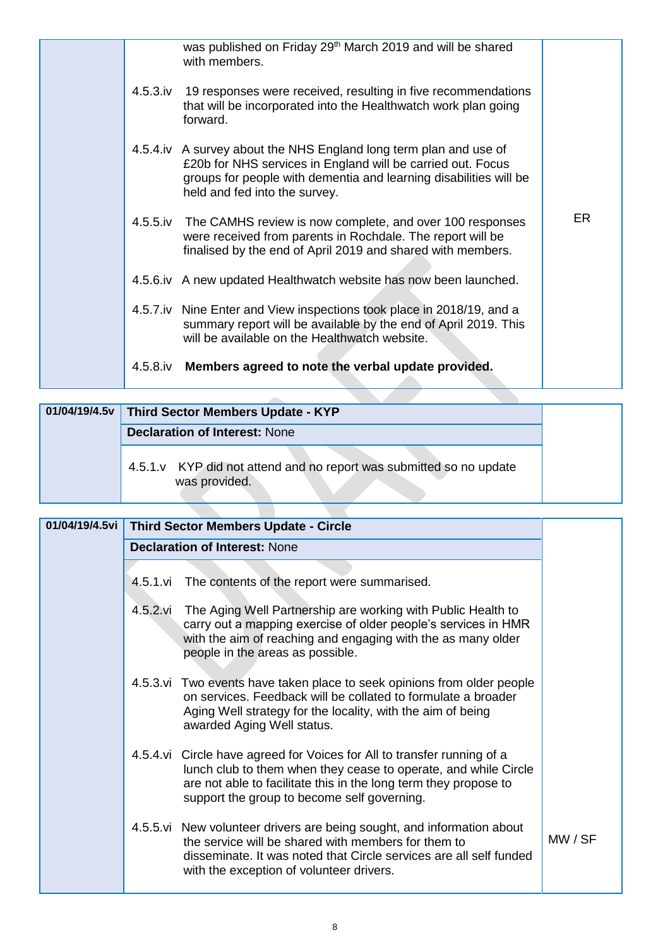|  |             | was published on Friday 29 <sup>th</sup> March 2019 and will be shared<br>with members.                                                                                                                                                |           |
|--|-------------|----------------------------------------------------------------------------------------------------------------------------------------------------------------------------------------------------------------------------------------|-----------|
|  | $4.5.3$ .iv | 19 responses were received, resulting in five recommendations<br>that will be incorporated into the Healthwatch work plan going<br>forward.                                                                                            |           |
|  |             | 4.5.4.iv A survey about the NHS England long term plan and use of<br>£20b for NHS services in England will be carried out. Focus<br>groups for people with dementia and learning disabilities will be<br>held and fed into the survey. |           |
|  |             | 4.5.5.iv The CAMHS review is now complete, and over 100 responses<br>were received from parents in Rochdale. The report will be<br>finalised by the end of April 2019 and shared with members.                                         | <b>ER</b> |
|  |             | 4.5.6.iv A new updated Healthwatch website has now been launched.                                                                                                                                                                      |           |
|  |             | 4.5.7.iv Nine Enter and View inspections took place in 2018/19, and a<br>summary report will be available by the end of April 2019. This<br>will be available on the Healthwatch website.                                              |           |
|  | 4.5.8.iv    | Members agreed to note the verbal update provided.                                                                                                                                                                                     |           |

|  | 01/04/19/4.5v Third Sector Members Update - KYP                                      |
|--|--------------------------------------------------------------------------------------|
|  | <b>Declaration of Interest: None</b>                                                 |
|  | 4.5.1.v KYP did not attend and no report was submitted so no update<br>was provided. |

| 01/04/19/4.5vi |          | <b>Third Sector Members Update - Circle</b>                                                                                                                                                                                                                   |         |
|----------------|----------|---------------------------------------------------------------------------------------------------------------------------------------------------------------------------------------------------------------------------------------------------------------|---------|
|                |          | <b>Declaration of Interest: None</b>                                                                                                                                                                                                                          |         |
|                |          |                                                                                                                                                                                                                                                               |         |
|                | 4.5.1.vi | The contents of the report were summarised.                                                                                                                                                                                                                   |         |
|                |          | 4.5.2. vi The Aging Well Partnership are working with Public Health to<br>carry out a mapping exercise of older people's services in HMR<br>with the aim of reaching and engaging with the as many older<br>people in the areas as possible.                  |         |
|                |          | 4.5.3. vi Two events have taken place to seek opinions from older people<br>on services. Feedback will be collated to formulate a broader<br>Aging Well strategy for the locality, with the aim of being<br>awarded Aging Well status.                        |         |
|                |          | 4.5.4.vi Circle have agreed for Voices for All to transfer running of a<br>lunch club to them when they cease to operate, and while Circle<br>are not able to facilitate this in the long term they propose to<br>support the group to become self governing. |         |
|                |          | 4.5.5. vi New volunteer drivers are being sought, and information about<br>the service will be shared with members for them to<br>disseminate. It was noted that Circle services are all self funded<br>with the exception of volunteer drivers.              | MW / SF |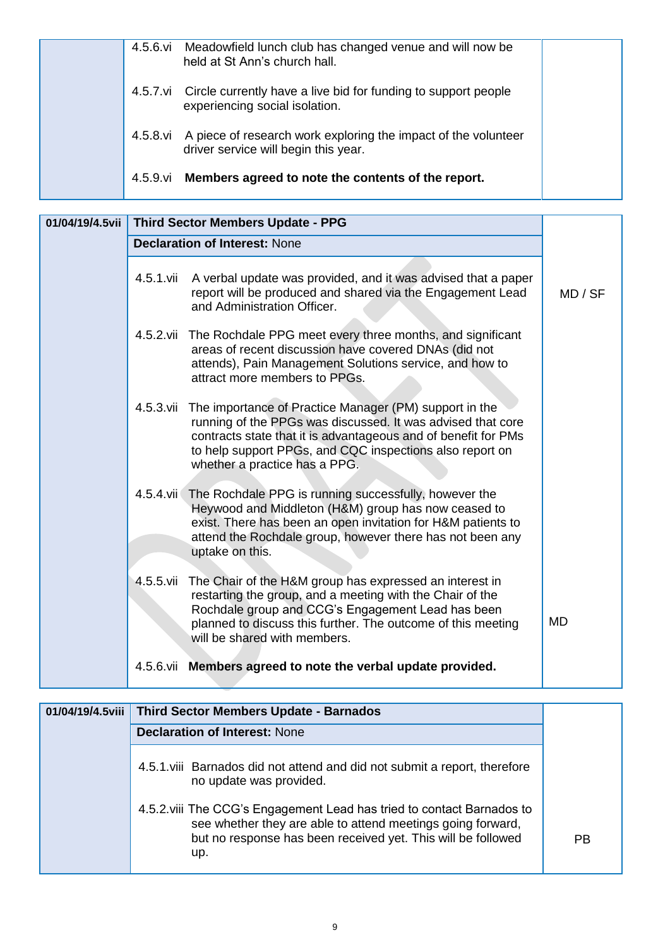|  | 4.5.6.vi | Meadowfield lunch club has changed venue and will now be<br>held at St Ann's church hall.                       |  |
|--|----------|-----------------------------------------------------------------------------------------------------------------|--|
|  |          | 4.5.7 vi Circle currently have a live bid for funding to support people<br>experiencing social isolation.       |  |
|  |          | 4.5.8.vi A piece of research work exploring the impact of the volunteer<br>driver service will begin this year. |  |
|  | 4.5.9.vi | Members agreed to note the contents of the report.                                                              |  |

|           | 01/04/19/4.5vii   Third Sector Members Update - PPG                                                                                                                                                                                                                                             |           |
|-----------|-------------------------------------------------------------------------------------------------------------------------------------------------------------------------------------------------------------------------------------------------------------------------------------------------|-----------|
|           | <b>Declaration of Interest: None</b>                                                                                                                                                                                                                                                            |           |
| 4.5.1.vii | A verbal update was provided, and it was advised that a paper<br>report will be produced and shared via the Engagement Lead<br>and Administration Officer.                                                                                                                                      | MD / SF   |
|           | 4.5.2. vii The Rochdale PPG meet every three months, and significant<br>areas of recent discussion have covered DNAs (did not<br>attends), Pain Management Solutions service, and how to<br>attract more members to PPGs.                                                                       |           |
|           | 4.5.3. vii The importance of Practice Manager (PM) support in the<br>running of the PPGs was discussed. It was advised that core<br>contracts state that it is advantageous and of benefit for PMs<br>to help support PPGs, and CQC inspections also report on<br>whether a practice has a PPG. |           |
|           | 4.5.4. vii The Rochdale PPG is running successfully, however the<br>Heywood and Middleton (H&M) group has now ceased to<br>exist. There has been an open invitation for H&M patients to<br>attend the Rochdale group, however there has not been any<br>uptake on this.                         |           |
|           | 4.5.5. vii The Chair of the H&M group has expressed an interest in<br>restarting the group, and a meeting with the Chair of the<br>Rochdale group and CCG's Engagement Lead has been<br>planned to discuss this further. The outcome of this meeting<br>will be shared with members.            | <b>MD</b> |
|           | 4.5.6. vii Members agreed to note the verbal update provided.                                                                                                                                                                                                                                   |           |

| 01/04/19/4.5viii   Third Sector Members Update - Barnados                                                                                                                                                   |    |
|-------------------------------------------------------------------------------------------------------------------------------------------------------------------------------------------------------------|----|
| <b>Declaration of Interest: None</b>                                                                                                                                                                        |    |
| 4.5.1 viii Barnados did not attend and did not submit a report, therefore<br>no update was provided.                                                                                                        |    |
| 4.5.2 viii The CCG's Engagement Lead has tried to contact Barnados to<br>see whether they are able to attend meetings going forward,<br>but no response has been received yet. This will be followed<br>up. | РB |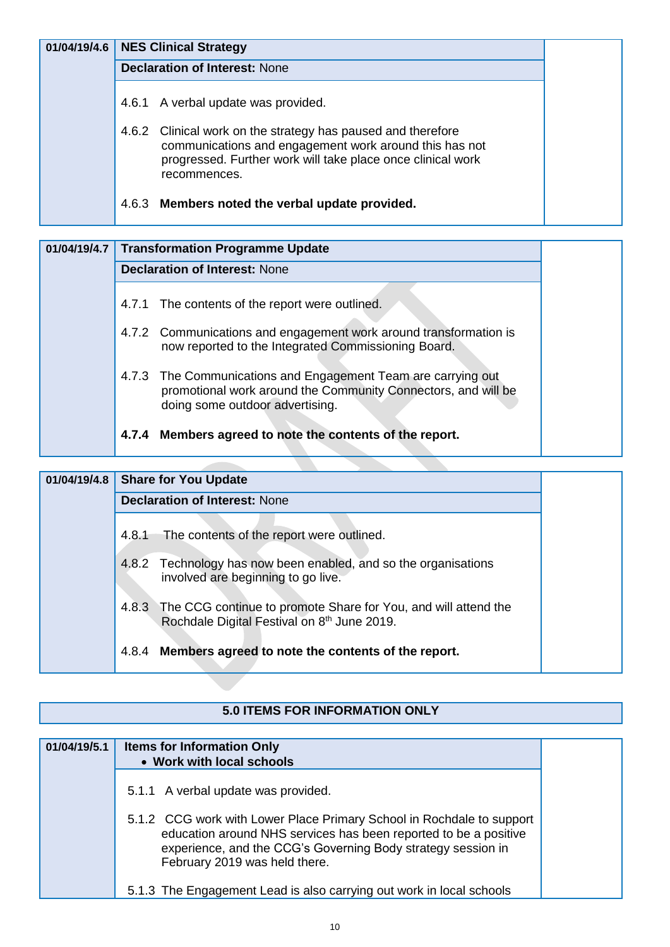| 01/04/19/4.6 |       | <b>NES Clinical Strategy</b>                                                                                                                                                                          |
|--------------|-------|-------------------------------------------------------------------------------------------------------------------------------------------------------------------------------------------------------|
|              |       | <b>Declaration of Interest: None</b>                                                                                                                                                                  |
|              |       | 4.6.1 A verbal update was provided.                                                                                                                                                                   |
|              |       | 4.6.2 Clinical work on the strategy has paused and therefore<br>communications and engagement work around this has not<br>progressed. Further work will take place once clinical work<br>recommences. |
|              | 4.6.3 | Members noted the verbal update provided.                                                                                                                                                             |

| 01/04/19/4.7 |       | <b>Transformation Programme Update</b>                                                                                                                            |
|--------------|-------|-------------------------------------------------------------------------------------------------------------------------------------------------------------------|
|              |       | <b>Declaration of Interest: None</b>                                                                                                                              |
|              |       | 4.7.1 The contents of the report were outlined.                                                                                                                   |
|              |       | 4.7.2 Communications and engagement work around transformation is<br>now reported to the Integrated Commissioning Board.                                          |
|              |       | 4.7.3 The Communications and Engagement Team are carrying out<br>promotional work around the Community Connectors, and will be<br>doing some outdoor advertising. |
|              | 4.7.4 | Members agreed to note the contents of the report.                                                                                                                |

# **01/04/19/4.8 Share for You Update Declaration of Interest: None** 4.8.1The contents of the report were outlined. 4.8.2Technology has now been enabled, and so the organisations involved are beginning to go live. 4.8.3The CCG continue to promote Share for You, and will attend the Rochdale Digital Festival on 8<sup>th</sup> June 2019. 4.8.4 **Members agreed to note the contents of the report.**

#### **5.0 ITEMS FOR INFORMATION ONLY**

| 01/04/19/5.1 | <b>Items for Information Only</b><br>• Work with local schools                                                                                                                                                                             |
|--------------|--------------------------------------------------------------------------------------------------------------------------------------------------------------------------------------------------------------------------------------------|
|              | 5.1.1 A verbal update was provided.                                                                                                                                                                                                        |
|              | 5.1.2 CCG work with Lower Place Primary School in Rochdale to support<br>education around NHS services has been reported to be a positive<br>experience, and the CCG's Governing Body strategy session in<br>February 2019 was held there. |
|              | 5.1.3 The Engagement Lead is also carrying out work in local schools                                                                                                                                                                       |